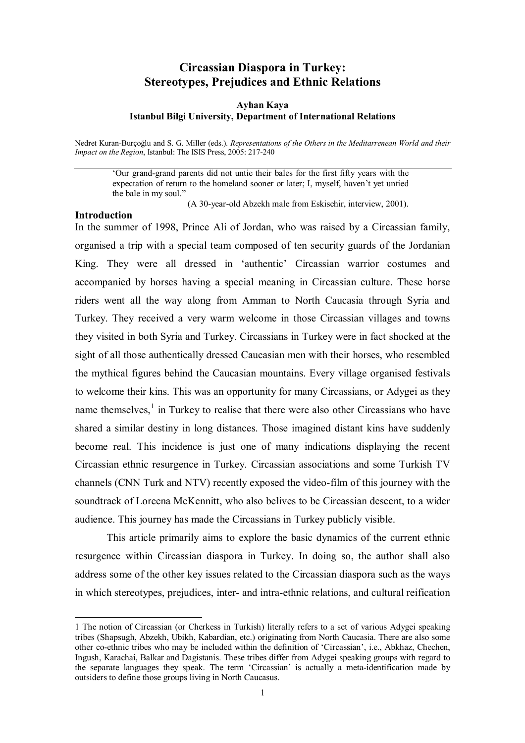# **Circassian Diaspora in Turkey: Stereotypes, Prejudices and Ethnic Relations**

### **Ayhan Kaya Istanbul Bilgi University, Department of International Relations**

Nedret Kuran-Burçoğlu and S. G. Miller (eds.). *Representations of the Others in the Meditarrenean World and their Impact on the Region*, Istanbul: The ISIS Press, 2005: 217-240

'Our grand-grand parents did not untie their bales for the first fifty years with the expectation of return to the homeland sooner or later; I, myself, haven't yet untied the bale in my soul."

(A 30-year-old Abzekh male from Eskisehir, interview, 2001).

#### **Introduction**

l

In the summer of 1998, Prince Ali of Jordan, who was raised by a Circassian family, organised a trip with a special team composed of ten security guards of the Jordanian King. They were all dressed in 'authentic' Circassian warrior costumes and accompanied by horses having a special meaning in Circassian culture. These horse riders went all the way along from Amman to North Caucasia through Syria and Turkey. They received a very warm welcome in those Circassian villages and towns they visited in both Syria and Turkey. Circassians in Turkey were in fact shocked at the sight of all those authentically dressed Caucasian men with their horses, who resembled the mythical figures behind the Caucasian mountains. Every village organised festivals to welcome their kins. This was an opportunity for many Circassians, or Adygei as they name themselves, $<sup>1</sup>$  in Turkey to realise that there were also other Circassians who have</sup> shared a similar destiny in long distances. Those imagined distant kins have suddenly become real. This incidence is just one of many indications displaying the recent Circassian ethnic resurgence in Turkey. Circassian associations and some Turkish TV channels (CNN Turk and NTV) recently exposed the video-film of this journey with the soundtrack of Loreena McKennitt, who also belives to be Circassian descent, to a wider audience. This journey has made the Circassians in Turkey publicly visible.

This article primarily aims to explore the basic dynamics of the current ethnic resurgence within Circassian diaspora in Turkey. In doing so, the author shall also address some of the other key issues related to the Circassian diaspora such as the ways in which stereotypes, prejudices, inter- and intra-ethnic relations, and cultural reification

<sup>1</sup> The notion of Circassian (or Cherkess in Turkish) literally refers to a set of various Adygei speaking tribes (Shapsugh, Abzekh, Ubikh, Kabardian, etc.) originating from North Caucasia. There are also some other co-ethnic tribes who may be included within the definition of 'Circassian', i.e., Abkhaz, Chechen, Ingush, Karachai, Balkar and Dagistanis. These tribes differ from Adygei speaking groups with regard to the separate languages they speak. The term 'Circassian' is actually a meta-identification made by outsiders to define those groups living in North Caucasus.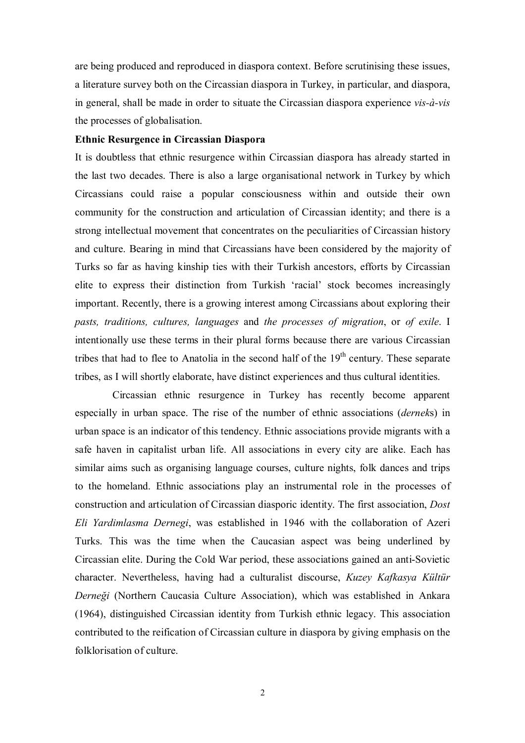are being produced and reproduced in diaspora context. Before scrutinising these issues, a literature survey both on the Circassian diaspora in Turkey, in particular, and diaspora, in general, shall be made in order to situate the Circassian diaspora experience *vis-à-vis* the processes of globalisation.

#### **Ethnic Resurgence in Circassian Diaspora**

It is doubtless that ethnic resurgence within Circassian diaspora has already started in the last two decades. There is also a large organisational network in Turkey by which Circassians could raise a popular consciousness within and outside their own community for the construction and articulation of Circassian identity; and there is a strong intellectual movement that concentrates on the peculiarities of Circassian history and culture. Bearing in mind that Circassians have been considered by the majority of Turks so far as having kinship ties with their Turkish ancestors, efforts by Circassian elite to express their distinction from Turkish 'racial' stock becomes increasingly important. Recently, there is a growing interest among Circassians about exploring their *pasts, traditions, cultures, languages* and *the processes of migration*, or *of exile*. I intentionally use these terms in their plural forms because there are various Circassian tribes that had to flee to Anatolia in the second half of the  $19<sup>th</sup>$  century. These separate tribes, as I will shortly elaborate, have distinct experiences and thus cultural identities.

Circassian ethnic resurgence in Turkey has recently become apparent especially in urban space. The rise of the number of ethnic associations (*dernek*s) in urban space is an indicator of this tendency. Ethnic associations provide migrants with a safe haven in capitalist urban life. All associations in every city are alike. Each has similar aims such as organising language courses, culture nights, folk dances and trips to the homeland. Ethnic associations play an instrumental role in the processes of construction and articulation of Circassian diasporic identity. The first association, *Dost Eli Yardimlasma Dernegi*, was established in 1946 with the collaboration of Azeri Turks. This was the time when the Caucasian aspect was being underlined by Circassian elite. During the Cold War period, these associations gained an anti-Sovietic character. Nevertheless, having had a culturalist discourse, *Kuzey Kafkasya Kültür Derneği* (Northern Caucasia Culture Association), which was established in Ankara (1964), distinguished Circassian identity from Turkish ethnic legacy. This association contributed to the reification of Circassian culture in diaspora by giving emphasis on the folklorisation of culture.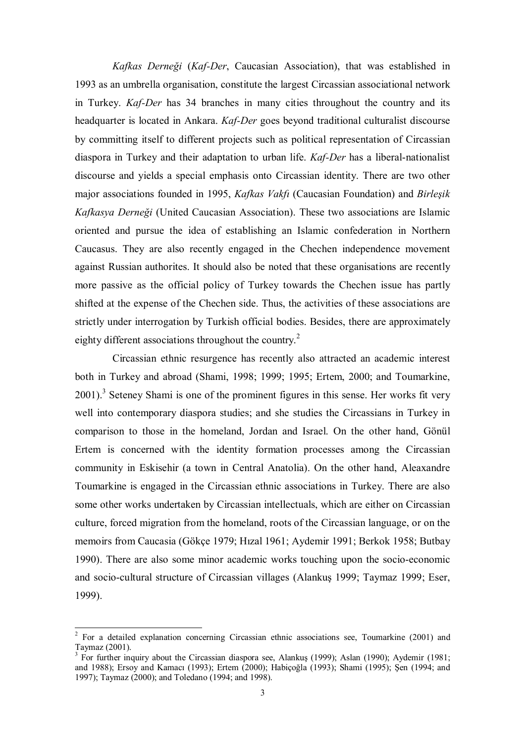*Kafkas Derneği* (*Kaf-Der*, Caucasian Association), that was established in 1993 as an umbrella organisation, constitute the largest Circassian associational network in Turkey. *Kaf-Der* has 34 branches in many cities throughout the country and its headquarter is located in Ankara. *Kaf-Der* goes beyond traditional culturalist discourse by committing itself to different projects such as political representation of Circassian diaspora in Turkey and their adaptation to urban life. *Kaf-Der* has a liberal-nationalist discourse and yields a special emphasis onto Circassian identity. There are two other major associations founded in 1995, *Kafkas Vakfı* (Caucasian Foundation) and *Birleşik Kafkasya Derneği* (United Caucasian Association). These two associations are Islamic oriented and pursue the idea of establishing an Islamic confederation in Northern Caucasus. They are also recently engaged in the Chechen independence movement against Russian authorites. It should also be noted that these organisations are recently more passive as the official policy of Turkey towards the Chechen issue has partly shifted at the expense of the Chechen side. Thus, the activities of these associations are strictly under interrogation by Turkish official bodies. Besides, there are approximately eighty different associations throughout the country.<sup>2</sup>

Circassian ethnic resurgence has recently also attracted an academic interest both in Turkey and abroad (Shami, 1998; 1999; 1995; Ertem, 2000; and Toumarkine,  $2001$ ).<sup>3</sup> Seteney Shami is one of the prominent figures in this sense. Her works fit very well into contemporary diaspora studies; and she studies the Circassians in Turkey in comparison to those in the homeland, Jordan and Israel. On the other hand, Gönül Ertem is concerned with the identity formation processes among the Circassian community in Eskisehir (a town in Central Anatolia). On the other hand, Aleaxandre Toumarkine is engaged in the Circassian ethnic associations in Turkey. There are also some other works undertaken by Circassian intellectuals, which are either on Circassian culture, forced migration from the homeland, roots of the Circassian language, or on the memoirs from Caucasia (Gökçe 1979; Hızal 1961; Aydemir 1991; Berkok 1958; Butbay 1990). There are also some minor academic works touching upon the socio-economic and socio-cultural structure of Circassian villages (Alankuş 1999; Taymaz 1999; Eser, 1999).

<sup>&</sup>lt;sup>2</sup> For a detailed explanation concerning Circassian ethnic associations see, Toumarkine (2001) and Taymaz (2001).

<sup>&</sup>lt;sup>3</sup> For further inquiry about the Circassian diaspora see, Alankuş (1999); Aslan (1990); Aydemir (1981; and 1988); Ersoy and Kamacı (1993); Ertem (2000); Habiçoğla (1993); Shami (1995); Şen (1994; and 1997); Taymaz (2000); and Toledano (1994; and 1998).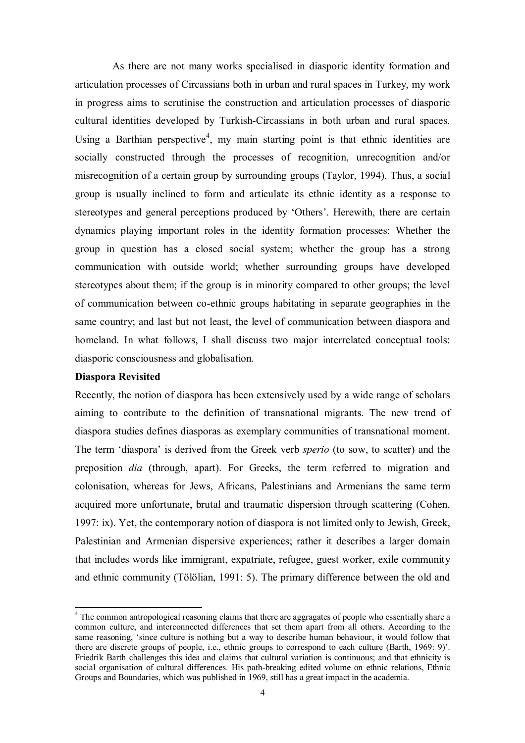As there are not many works specialised in diasporic identity formation and articulation processes of Circassians both in urban and rural spaces in Turkey, my work in progress aims to scrutinise the construction and articulation processes of diasporic cultural identities developed by Turkish-Circassians in both urban and rural spaces. Using a Barthian perspective<sup>4</sup>, my main starting point is that ethnic identities are socially constructed through the processes of recognition, unrecognition and/or misrecognition of a certain group by surrounding groups (Taylor, 1994). Thus, a social group is usually inclined to form and articulate its ethnic identity as a response to stereotypes and general perceptions produced by 'Others'. Herewith, there are certain dynamics playing important roles in the identity formation processes: Whether the group in question has a closed social system; whether the group has a strong communication with outside world; whether surrounding groups have developed stereotypes about them; if the group is in minority compared to other groups; the level of communication between co-ethnic groups habitating in separate geographies in the same country; and last but not least, the level of communication between diaspora and homeland. In what follows, I shall discuss two major interrelated conceptual tools: diasporic consciousness and globalisation.

# **Diaspora Revisited**

l

Recently, the notion of diaspora has been extensively used by a wide range of scholars aiming to contribute to the definition of transnational migrants. The new trend of diaspora studies defines diasporas as exemplary communities of transnational moment. The term 'diaspora' is derived from the Greek verb *sperio* (to sow, to scatter) and the preposition *dia* (through, apart). For Greeks, the term referred to migration and colonisation, whereas for Jews, Africans, Palestinians and Armenians the same term acquired more unfortunate, brutal and traumatic dispersion through scattering (Cohen, 1997: ix). Yet, the contemporary notion of diaspora is not limited only to Jewish, Greek, Palestinian and Armenian dispersive experiences; rather it describes a larger domain that includes words like immigrant, expatriate, refugee, guest worker, exile community and ethnic community (Tölölian, 1991: 5). The primary difference between the old and

<sup>&</sup>lt;sup>4</sup> The common antropological reasoning claims that there are aggragates of people who essentially share a common culture, and interconnected differences that set them apart from all others. According to the same reasoning, 'since culture is nothing but a way to describe human behaviour, it would follow that there are discrete groups of people, i.e., ethnic groups to correspond to each culture (Barth, 1969: 9)'. Friedrik Barth challenges this idea and claims that cultural variation is continuous; and that ethnicity is social organisation of cultural differences. His path-breaking edited volume on ethnic relations, Ethnic Groups and Boundaries, which was published in 1969, still has a great impact in the academia.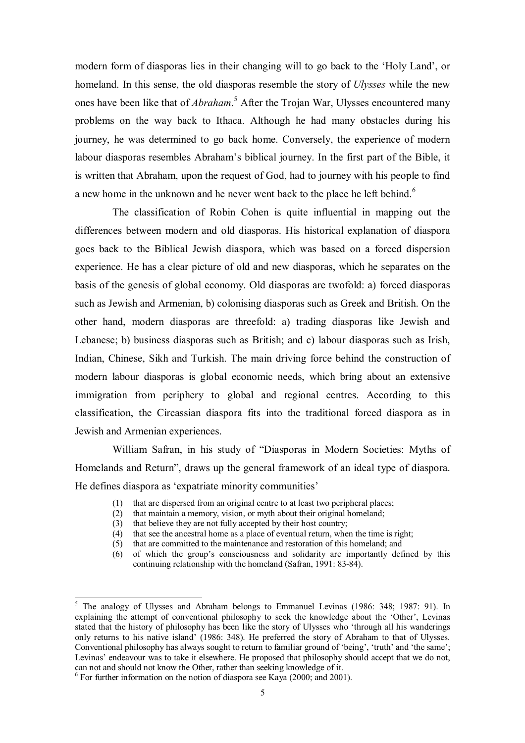modern form of diasporas lies in their changing will to go back to the 'Holy Land', or homeland. In this sense, the old diasporas resemble the story of *Ulysses* while the new ones have been like that of *Abraham*.<sup>5</sup> After the Trojan War, Ulysses encountered many problems on the way back to Ithaca. Although he had many obstacles during his journey, he was determined to go back home. Conversely, the experience of modern labour diasporas resembles Abraham's biblical journey. In the first part of the Bible, it is written that Abraham, upon the request of God, had to journey with his people to find a new home in the unknown and he never went back to the place he left behind.<sup>6</sup>

The classification of Robin Cohen is quite influential in mapping out the differences between modern and old diasporas. His historical explanation of diaspora goes back to the Biblical Jewish diaspora, which was based on a forced dispersion experience. He has a clear picture of old and new diasporas, which he separates on the basis of the genesis of global economy. Old diasporas are twofold: a) forced diasporas such as Jewish and Armenian, b) colonising diasporas such as Greek and British. On the other hand, modern diasporas are threefold: a) trading diasporas like Jewish and Lebanese; b) business diasporas such as British; and c) labour diasporas such as Irish, Indian, Chinese, Sikh and Turkish. The main driving force behind the construction of modern labour diasporas is global economic needs, which bring about an extensive immigration from periphery to global and regional centres. According to this classification, the Circassian diaspora fits into the traditional forced diaspora as in Jewish and Armenian experiences.

William Safran, in his study of "Diasporas in Modern Societies: Myths of Homelands and Return", draws up the general framework of an ideal type of diaspora. He defines diaspora as 'expatriate minority communities'

- (1) that are dispersed from an original centre to at least two peripheral places;
- (2) that maintain a memory, vision, or myth about their original homeland;
- (3) that believe they are not fully accepted by their host country;
- (4) that see the ancestral home as a place of eventual return, when the time is right;
- (5) that are committed to the maintenance and restoration of this homeland; and
- (6) of which the group's consciousness and solidarity are importantly defined by this continuing relationship with the homeland (Safran, 1991: 83-84).

l

<sup>&</sup>lt;sup>5</sup> The analogy of Ulysses and Abraham belongs to Emmanuel Levinas (1986: 348; 1987: 91). In explaining the attempt of conventional philosophy to seek the knowledge about the 'Other', Levinas stated that the history of philosophy has been like the story of Ulysses who 'through all his wanderings only returns to his native island' (1986: 348). He preferred the story of Abraham to that of Ulysses. Conventional philosophy has always sought to return to familiar ground of 'being', 'truth' and 'the same'; Levinas' endeavour was to take it elsewhere. He proposed that philosophy should accept that we do not, can not and should not know the Other, rather than seeking knowledge of it.

 $6$  For further information on the notion of diaspora see Kaya (2000; and 2001).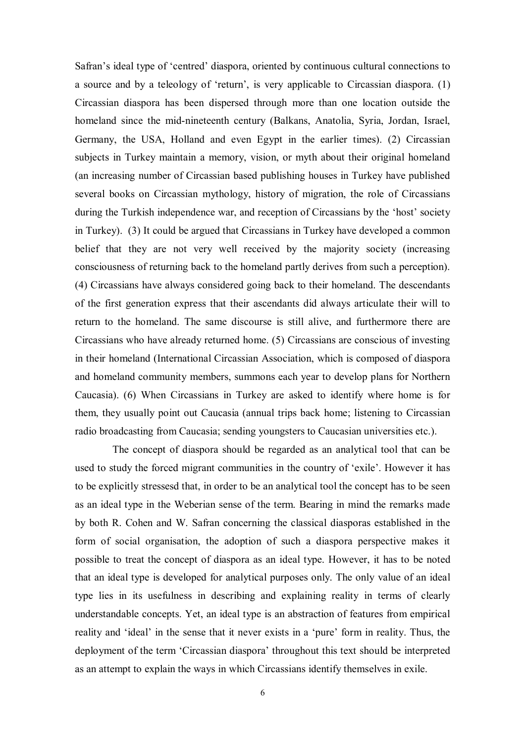Safran's ideal type of 'centred' diaspora, oriented by continuous cultural connections to a source and by a teleology of 'return', is very applicable to Circassian diaspora. (1) Circassian diaspora has been dispersed through more than one location outside the homeland since the mid-nineteenth century (Balkans, Anatolia, Syria, Jordan, Israel, Germany, the USA, Holland and even Egypt in the earlier times). (2) Circassian subjects in Turkey maintain a memory, vision, or myth about their original homeland (an increasing number of Circassian based publishing houses in Turkey have published several books on Circassian mythology, history of migration, the role of Circassians during the Turkish independence war, and reception of Circassians by the 'host' society in Turkey). (3) It could be argued that Circassians in Turkey have developed a common belief that they are not very well received by the majority society (increasing consciousness of returning back to the homeland partly derives from such a perception). (4) Circassians have always considered going back to their homeland. The descendants of the first generation express that their ascendants did always articulate their will to return to the homeland. The same discourse is still alive, and furthermore there are Circassians who have already returned home. (5) Circassians are conscious of investing in their homeland (International Circassian Association, which is composed of diaspora and homeland community members, summons each year to develop plans for Northern Caucasia). (6) When Circassians in Turkey are asked to identify where home is for them, they usually point out Caucasia (annual trips back home; listening to Circassian radio broadcasting from Caucasia; sending youngsters to Caucasian universities etc.).

The concept of diaspora should be regarded as an analytical tool that can be used to study the forced migrant communities in the country of 'exile'. However it has to be explicitly stressesd that, in order to be an analytical tool the concept has to be seen as an ideal type in the Weberian sense of the term. Bearing in mind the remarks made by both R. Cohen and W. Safran concerning the classical diasporas established in the form of social organisation, the adoption of such a diaspora perspective makes it possible to treat the concept of diaspora as an ideal type. However, it has to be noted that an ideal type is developed for analytical purposes only. The only value of an ideal type lies in its usefulness in describing and explaining reality in terms of clearly understandable concepts. Yet, an ideal type is an abstraction of features from empirical reality and 'ideal' in the sense that it never exists in a 'pure' form in reality. Thus, the deployment of the term 'Circassian diaspora' throughout this text should be interpreted as an attempt to explain the ways in which Circassians identify themselves in exile.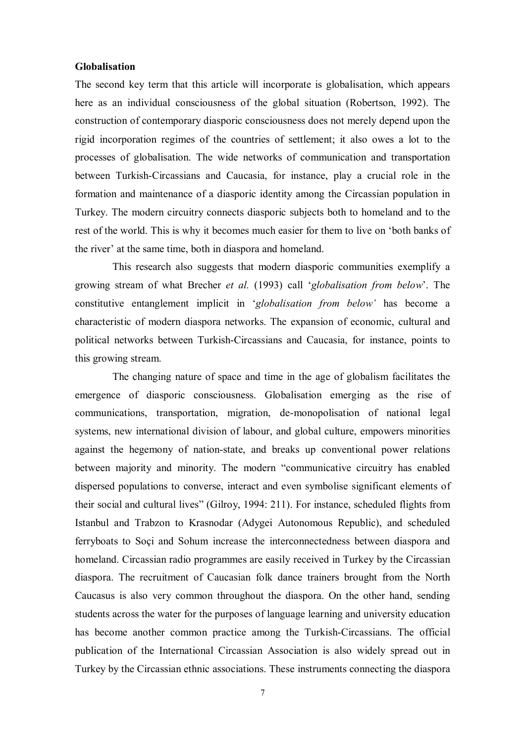#### **Globalisation**

The second key term that this article will incorporate is globalisation, which appears here as an individual consciousness of the global situation (Robertson, 1992). The construction of contemporary diasporic consciousness does not merely depend upon the rigid incorporation regimes of the countries of settlement; it also owes a lot to the processes of globalisation. The wide networks of communication and transportation between Turkish-Circassians and Caucasia, for instance, play a crucial role in the formation and maintenance of a diasporic identity among the Circassian population in Turkey. The modern circuitry connects diasporic subjects both to homeland and to the rest of the world. This is why it becomes much easier for them to live on 'both banks of the river' at the same time, both in diaspora and homeland.

This research also suggests that modern diasporic communities exemplify a growing stream of what Brecher *et al.* (1993) call '*globalisation from below*'. The constitutive entanglement implicit in '*globalisation from below'* has become a characteristic of modern diaspora networks. The expansion of economic, cultural and political networks between Turkish-Circassians and Caucasia, for instance, points to this growing stream.

The changing nature of space and time in the age of globalism facilitates the emergence of diasporic consciousness. Globalisation emerging as the rise of communications, transportation, migration, de-monopolisation of national legal systems, new international division of labour, and global culture, empowers minorities against the hegemony of nation-state, and breaks up conventional power relations between majority and minority. The modern "communicative circuitry has enabled dispersed populations to converse, interact and even symbolise significant elements of their social and cultural lives" (Gilroy, 1994: 211). For instance, scheduled flights from Istanbul and Trabzon to Krasnodar (Adygei Autonomous Republic), and scheduled ferryboats to Soçi and Sohum increase the interconnectedness between diaspora and homeland. Circassian radio programmes are easily received in Turkey by the Circassian diaspora. The recruitment of Caucasian folk dance trainers brought from the North Caucasus is also very common throughout the diaspora. On the other hand, sending students across the water for the purposes of language learning and university education has become another common practice among the Turkish-Circassians. The official publication of the International Circassian Association is also widely spread out in Turkey by the Circassian ethnic associations. These instruments connecting the diaspora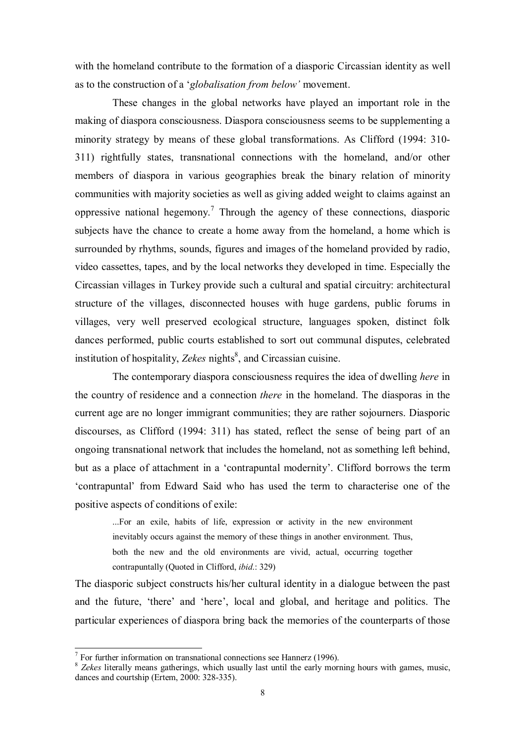with the homeland contribute to the formation of a diasporic Circassian identity as well as to the construction of a '*globalisation from below'* movement.

These changes in the global networks have played an important role in the making of diaspora consciousness. Diaspora consciousness seems to be supplementing a minority strategy by means of these global transformations. As Clifford (1994: 310- 311) rightfully states, transnational connections with the homeland, and/or other members of diaspora in various geographies break the binary relation of minority communities with majority societies as well as giving added weight to claims against an oppressive national hegemony.<sup>7</sup> Through the agency of these connections, diasporic subjects have the chance to create a home away from the homeland, a home which is surrounded by rhythms, sounds, figures and images of the homeland provided by radio, video cassettes, tapes, and by the local networks they developed in time. Especially the Circassian villages in Turkey provide such a cultural and spatial circuitry: architectural structure of the villages, disconnected houses with huge gardens, public forums in villages, very well preserved ecological structure, languages spoken, distinct folk dances performed, public courts established to sort out communal disputes, celebrated institution of hospitality, Zekes nights<sup>8</sup>, and Circassian cuisine.

The contemporary diaspora consciousness requires the idea of dwelling *here* in the country of residence and a connection *there* in the homeland. The diasporas in the current age are no longer immigrant communities; they are rather sojourners. Diasporic discourses, as Clifford (1994: 311) has stated, reflect the sense of being part of an ongoing transnational network that includes the homeland, not as something left behind, but as a place of attachment in a 'contrapuntal modernity'. Clifford borrows the term 'contrapuntal' from Edward Said who has used the term to characterise one of the positive aspects of conditions of exile:

...For an exile, habits of life, expression or activity in the new environment inevitably occurs against the memory of these things in another environment. Thus, both the new and the old environments are vivid, actual, occurring together contrapuntally (Quoted in Clifford, *ibid*.: 329)

The diasporic subject constructs his/her cultural identity in a dialogue between the past and the future, 'there' and 'here', local and global, and heritage and politics. The particular experiences of diaspora bring back the memories of the counterparts of those

l

 $<sup>7</sup>$  For further information on transnational connections see Hannerz (1996).</sup>

<sup>&</sup>lt;sup>8</sup> Zekes literally means gatherings, which usually last until the early morning hours with games, music, dances and courtship (Ertem, 2000: 328-335).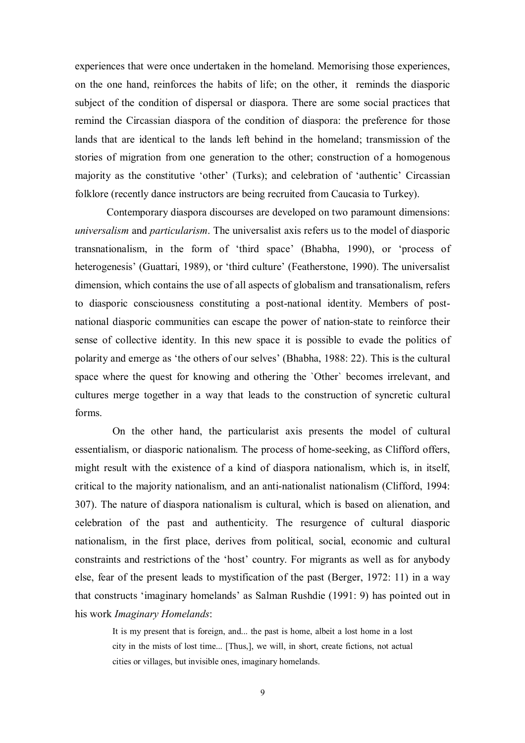experiences that were once undertaken in the homeland. Memorising those experiences, on the one hand, reinforces the habits of life; on the other, it reminds the diasporic subject of the condition of dispersal or diaspora. There are some social practices that remind the Circassian diaspora of the condition of diaspora: the preference for those lands that are identical to the lands left behind in the homeland; transmission of the stories of migration from one generation to the other; construction of a homogenous majority as the constitutive 'other' (Turks); and celebration of 'authentic' Circassian folklore (recently dance instructors are being recruited from Caucasia to Turkey).

Contemporary diaspora discourses are developed on two paramount dimensions: *universalism* and *particularism*. The universalist axis refers us to the model of diasporic transnationalism, in the form of 'third space' (Bhabha, 1990), or 'process of heterogenesis' (Guattari, 1989), or 'third culture' (Featherstone, 1990). The universalist dimension, which contains the use of all aspects of globalism and transationalism, refers to diasporic consciousness constituting a post-national identity. Members of postnational diasporic communities can escape the power of nation-state to reinforce their sense of collective identity. In this new space it is possible to evade the politics of polarity and emerge as 'the others of our selves' (Bhabha, 1988: 22). This is the cultural space where the quest for knowing and othering the `Other` becomes irrelevant, and cultures merge together in a way that leads to the construction of syncretic cultural forms.

On the other hand, the particularist axis presents the model of cultural essentialism, or diasporic nationalism. The process of home-seeking, as Clifford offers, might result with the existence of a kind of diaspora nationalism, which is, in itself, critical to the majority nationalism, and an anti-nationalist nationalism (Clifford, 1994: 307). The nature of diaspora nationalism is cultural, which is based on alienation, and celebration of the past and authenticity. The resurgence of cultural diasporic nationalism, in the first place, derives from political, social, economic and cultural constraints and restrictions of the 'host' country. For migrants as well as for anybody else, fear of the present leads to mystification of the past (Berger, 1972: 11) in a way that constructs 'imaginary homelands' as Salman Rushdie (1991: 9) has pointed out in his work *Imaginary Homelands*:

It is my present that is foreign, and... the past is home, albeit a lost home in a lost city in the mists of lost time... [Thus,], we will, in short, create fictions, not actual cities or villages, but invisible ones, imaginary homelands.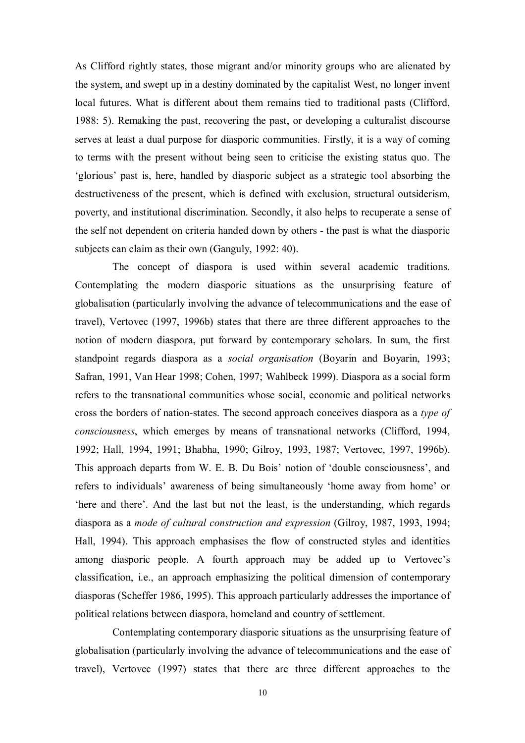As Clifford rightly states, those migrant and/or minority groups who are alienated by the system, and swept up in a destiny dominated by the capitalist West, no longer invent local futures. What is different about them remains tied to traditional pasts (Clifford, 1988: 5). Remaking the past, recovering the past, or developing a culturalist discourse serves at least a dual purpose for diasporic communities. Firstly, it is a way of coming to terms with the present without being seen to criticise the existing status quo. The 'glorious' past is, here, handled by diasporic subject as a strategic tool absorbing the destructiveness of the present, which is defined with exclusion, structural outsiderism, poverty, and institutional discrimination. Secondly, it also helps to recuperate a sense of the self not dependent on criteria handed down by others - the past is what the diasporic subjects can claim as their own (Ganguly, 1992: 40).

The concept of diaspora is used within several academic traditions. Contemplating the modern diasporic situations as the unsurprising feature of globalisation (particularly involving the advance of telecommunications and the ease of travel), Vertovec (1997, 1996b) states that there are three different approaches to the notion of modern diaspora, put forward by contemporary scholars. In sum, the first standpoint regards diaspora as a *social organisation* (Boyarin and Boyarin, 1993; Safran, 1991, Van Hear 1998; Cohen, 1997; Wahlbeck 1999). Diaspora as a social form refers to the transnational communities whose social, economic and political networks cross the borders of nation-states. The second approach conceives diaspora as a *type of consciousness*, which emerges by means of transnational networks (Clifford, 1994, 1992; Hall, 1994, 1991; Bhabha, 1990; Gilroy, 1993, 1987; Vertovec, 1997, 1996b). This approach departs from W. E. B. Du Bois' notion of 'double consciousness', and refers to individuals' awareness of being simultaneously 'home away from home' or 'here and there'. And the last but not the least, is the understanding, which regards diaspora as a *mode of cultural construction and expression* (Gilroy, 1987, 1993, 1994; Hall, 1994). This approach emphasises the flow of constructed styles and identities among diasporic people. A fourth approach may be added up to Vertovec's classification, i.e., an approach emphasizing the political dimension of contemporary diasporas (Scheffer 1986, 1995). This approach particularly addresses the importance of political relations between diaspora, homeland and country of settlement.

Contemplating contemporary diasporic situations as the unsurprising feature of globalisation (particularly involving the advance of telecommunications and the ease of travel), Vertovec (1997) states that there are three different approaches to the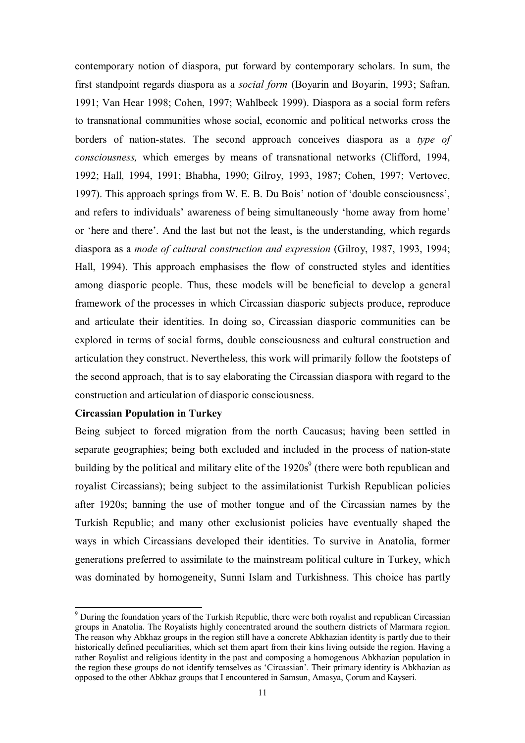contemporary notion of diaspora, put forward by contemporary scholars. In sum, the first standpoint regards diaspora as a *social form* (Boyarin and Boyarin, 1993; Safran, 1991; Van Hear 1998; Cohen, 1997; Wahlbeck 1999). Diaspora as a social form refers to transnational communities whose social, economic and political networks cross the borders of nation-states. The second approach conceives diaspora as a *type of consciousness,* which emerges by means of transnational networks (Clifford, 1994, 1992; Hall, 1994, 1991; Bhabha, 1990; Gilroy, 1993, 1987; Cohen, 1997; Vertovec, 1997). This approach springs from W. E. B. Du Bois' notion of 'double consciousness', and refers to individuals' awareness of being simultaneously 'home away from home' or 'here and there'. And the last but not the least, is the understanding, which regards diaspora as a *mode of cultural construction and expression* (Gilroy, 1987, 1993, 1994; Hall, 1994). This approach emphasises the flow of constructed styles and identities among diasporic people. Thus, these models will be beneficial to develop a general framework of the processes in which Circassian diasporic subjects produce, reproduce and articulate their identities. In doing so, Circassian diasporic communities can be explored in terms of social forms, double consciousness and cultural construction and articulation they construct. Nevertheless, this work will primarily follow the footsteps of the second approach, that is to say elaborating the Circassian diaspora with regard to the construction and articulation of diasporic consciousness.

# **Circassian Population in Turkey**

l

Being subject to forced migration from the north Caucasus; having been settled in separate geographies; being both excluded and included in the process of nation-state building by the political and military elite of the  $1920s<sup>9</sup>$  (there were both republican and royalist Circassians); being subject to the assimilationist Turkish Republican policies after 1920s; banning the use of mother tongue and of the Circassian names by the Turkish Republic; and many other exclusionist policies have eventually shaped the ways in which Circassians developed their identities. To survive in Anatolia, former generations preferred to assimilate to the mainstream political culture in Turkey, which was dominated by homogeneity, Sunni Islam and Turkishness. This choice has partly

<sup>&</sup>lt;sup>9</sup> During the foundation years of the Turkish Republic, there were both royalist and republican Circassian groups in Anatolia. The Royalists highly concentrated around the southern districts of Marmara region. The reason why Abkhaz groups in the region still have a concrete Abkhazian identity is partly due to their historically defined peculiarities, which set them apart from their kins living outside the region. Having a rather Royalist and religious identity in the past and composing a homogenous Abkhazian population in the region these groups do not identify temselves as 'Circassian'. Their primary identity is Abkhazian as opposed to the other Abkhaz groups that I encountered in Samsun, Amasya, Çorum and Kayseri.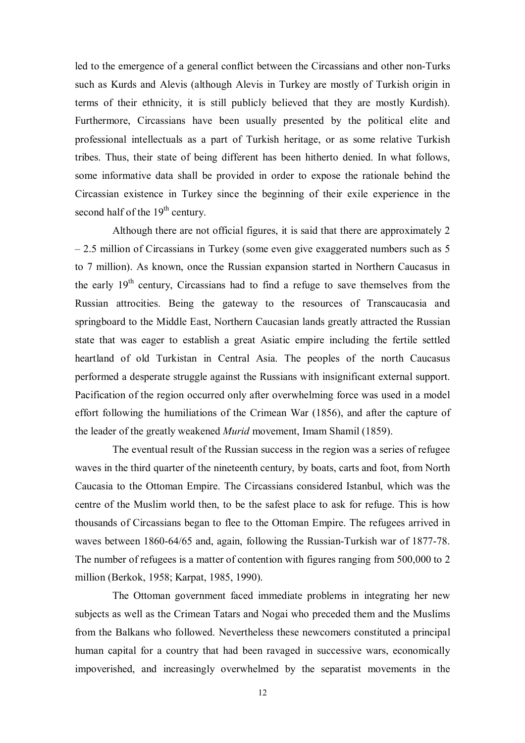led to the emergence of a general conflict between the Circassians and other non-Turks such as Kurds and Alevis (although Alevis in Turkey are mostly of Turkish origin in terms of their ethnicity, it is still publicly believed that they are mostly Kurdish). Furthermore, Circassians have been usually presented by the political elite and professional intellectuals as a part of Turkish heritage, or as some relative Turkish tribes. Thus, their state of being different has been hitherto denied. In what follows, some informative data shall be provided in order to expose the rationale behind the Circassian existence in Turkey since the beginning of their exile experience in the second half of the  $19<sup>th</sup>$  century.

Although there are not official figures, it is said that there are approximately 2 – 2.5 million of Circassians in Turkey (some even give exaggerated numbers such as 5 to 7 million). As known, once the Russian expansion started in Northern Caucasus in the early  $19<sup>th</sup>$  century. Circassians had to find a refuge to save themselves from the Russian attrocities. Being the gateway to the resources of Transcaucasia and springboard to the Middle East, Northern Caucasian lands greatly attracted the Russian state that was eager to establish a great Asiatic empire including the fertile settled heartland of old Turkistan in Central Asia. The peoples of the north Caucasus performed a desperate struggle against the Russians with insignificant external support. Pacification of the region occurred only after overwhelming force was used in a model effort following the humiliations of the Crimean War (1856), and after the capture of the leader of the greatly weakened *Murid* movement, Imam Shamil (1859).

The eventual result of the Russian success in the region was a series of refugee waves in the third quarter of the nineteenth century, by boats, carts and foot, from North Caucasia to the Ottoman Empire. The Circassians considered Istanbul, which was the centre of the Muslim world then, to be the safest place to ask for refuge. This is how thousands of Circassians began to flee to the Ottoman Empire. The refugees arrived in waves between 1860-64/65 and, again, following the Russian-Turkish war of 1877-78. The number of refugees is a matter of contention with figures ranging from 500,000 to 2 million (Berkok, 1958; Karpat, 1985, 1990).

The Ottoman government faced immediate problems in integrating her new subjects as well as the Crimean Tatars and Nogai who preceded them and the Muslims from the Balkans who followed. Nevertheless these newcomers constituted a principal human capital for a country that had been ravaged in successive wars, economically impoverished, and increasingly overwhelmed by the separatist movements in the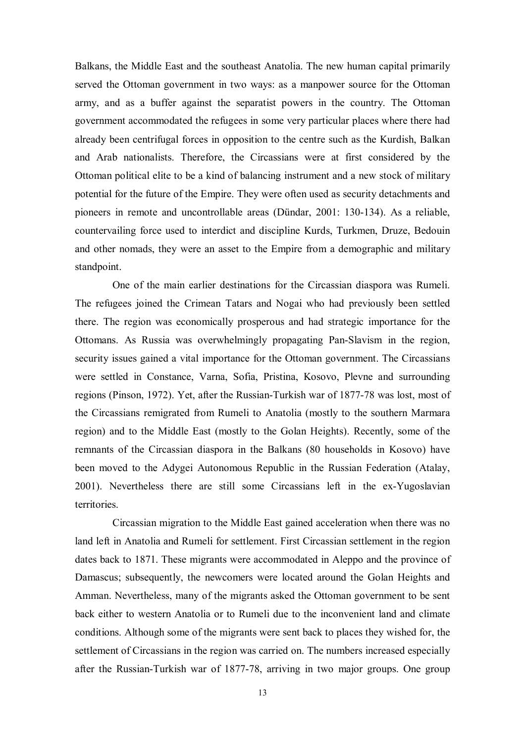Balkans, the Middle East and the southeast Anatolia. The new human capital primarily served the Ottoman government in two ways: as a manpower source for the Ottoman army, and as a buffer against the separatist powers in the country. The Ottoman government accommodated the refugees in some very particular places where there had already been centrifugal forces in opposition to the centre such as the Kurdish, Balkan and Arab nationalists. Therefore, the Circassians were at first considered by the Ottoman political elite to be a kind of balancing instrument and a new stock of military potential for the future of the Empire. They were often used as security detachments and pioneers in remote and uncontrollable areas (Dündar, 2001: 130-134). As a reliable, countervailing force used to interdict and discipline Kurds, Turkmen, Druze, Bedouin and other nomads, they were an asset to the Empire from a demographic and military standpoint.

One of the main earlier destinations for the Circassian diaspora was Rumeli. The refugees joined the Crimean Tatars and Nogai who had previously been settled there. The region was economically prosperous and had strategic importance for the Ottomans. As Russia was overwhelmingly propagating Pan-Slavism in the region, security issues gained a vital importance for the Ottoman government. The Circassians were settled in Constance, Varna, Sofia, Pristina, Kosovo, Plevne and surrounding regions (Pinson, 1972). Yet, after the Russian-Turkish war of 1877-78 was lost, most of the Circassians remigrated from Rumeli to Anatolia (mostly to the southern Marmara region) and to the Middle East (mostly to the Golan Heights). Recently, some of the remnants of the Circassian diaspora in the Balkans (80 households in Kosovo) have been moved to the Adygei Autonomous Republic in the Russian Federation (Atalay, 2001). Nevertheless there are still some Circassians left in the ex-Yugoslavian territories.

Circassian migration to the Middle East gained acceleration when there was no land left in Anatolia and Rumeli for settlement. First Circassian settlement in the region dates back to 1871. These migrants were accommodated in Aleppo and the province of Damascus; subsequently, the newcomers were located around the Golan Heights and Amman. Nevertheless, many of the migrants asked the Ottoman government to be sent back either to western Anatolia or to Rumeli due to the inconvenient land and climate conditions. Although some of the migrants were sent back to places they wished for, the settlement of Circassians in the region was carried on. The numbers increased especially after the Russian-Turkish war of 1877-78, arriving in two major groups. One group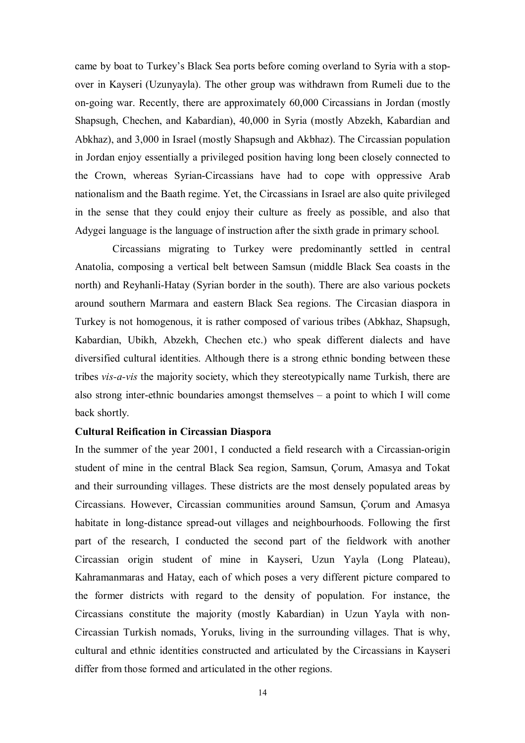came by boat to Turkey's Black Sea ports before coming overland to Syria with a stopover in Kayseri (Uzunyayla). The other group was withdrawn from Rumeli due to the on-going war. Recently, there are approximately 60,000 Circassians in Jordan (mostly Shapsugh, Chechen, and Kabardian), 40,000 in Syria (mostly Abzekh, Kabardian and Abkhaz), and 3,000 in Israel (mostly Shapsugh and Akbhaz). The Circassian population in Jordan enjoy essentially a privileged position having long been closely connected to the Crown, whereas Syrian-Circassians have had to cope with oppressive Arab nationalism and the Baath regime. Yet, the Circassians in Israel are also quite privileged in the sense that they could enjoy their culture as freely as possible, and also that Adygei language is the language of instruction after the sixth grade in primary school.

Circassians migrating to Turkey were predominantly settled in central Anatolia, composing a vertical belt between Samsun (middle Black Sea coasts in the north) and Reyhanli-Hatay (Syrian border in the south). There are also various pockets around southern Marmara and eastern Black Sea regions. The Circasian diaspora in Turkey is not homogenous, it is rather composed of various tribes (Abkhaz, Shapsugh, Kabardian, Ubikh, Abzekh, Chechen etc.) who speak different dialects and have diversified cultural identities. Although there is a strong ethnic bonding between these tribes *vis-a-vis* the majority society, which they stereotypically name Turkish, there are also strong inter-ethnic boundaries amongst themselves – a point to which I will come back shortly.

#### **Cultural Reification in Circassian Diaspora**

In the summer of the year 2001, I conducted a field research with a Circassian-origin student of mine in the central Black Sea region, Samsun, Çorum, Amasya and Tokat and their surrounding villages. These districts are the most densely populated areas by Circassians. However, Circassian communities around Samsun, Çorum and Amasya habitate in long-distance spread-out villages and neighbourhoods. Following the first part of the research, I conducted the second part of the fieldwork with another Circassian origin student of mine in Kayseri, Uzun Yayla (Long Plateau), Kahramanmaras and Hatay, each of which poses a very different picture compared to the former districts with regard to the density of population. For instance, the Circassians constitute the majority (mostly Kabardian) in Uzun Yayla with non-Circassian Turkish nomads, Yoruks, living in the surrounding villages. That is why, cultural and ethnic identities constructed and articulated by the Circassians in Kayseri differ from those formed and articulated in the other regions.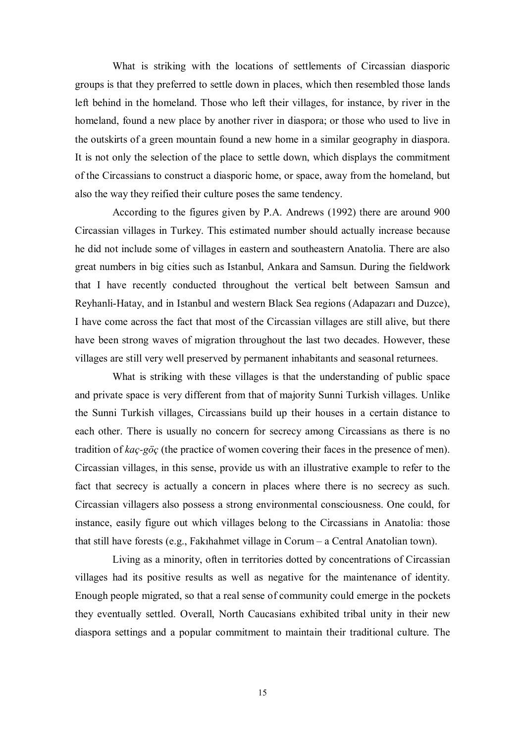What is striking with the locations of settlements of Circassian diasporic groups is that they preferred to settle down in places, which then resembled those lands left behind in the homeland. Those who left their villages, for instance, by river in the homeland, found a new place by another river in diaspora; or those who used to live in the outskirts of a green mountain found a new home in a similar geography in diaspora. It is not only the selection of the place to settle down, which displays the commitment of the Circassians to construct a diasporic home, or space, away from the homeland, but also the way they reified their culture poses the same tendency.

According to the figures given by P.A. Andrews (1992) there are around 900 Circassian villages in Turkey. This estimated number should actually increase because he did not include some of villages in eastern and southeastern Anatolia. There are also great numbers in big cities such as Istanbul, Ankara and Samsun. During the fieldwork that I have recently conducted throughout the vertical belt between Samsun and Reyhanli-Hatay, and in Istanbul and western Black Sea regions (Adapazarı and Duzce), I have come across the fact that most of the Circassian villages are still alive, but there have been strong waves of migration throughout the last two decades. However, these villages are still very well preserved by permanent inhabitants and seasonal returnees.

What is striking with these villages is that the understanding of public space and private space is very different from that of majority Sunni Turkish villages. Unlike the Sunni Turkish villages, Circassians build up their houses in a certain distance to each other. There is usually no concern for secrecy among Circassians as there is no tradition of *kaç-göç* (the practice of women covering their faces in the presence of men). Circassian villages, in this sense, provide us with an illustrative example to refer to the fact that secrecy is actually a concern in places where there is no secrecy as such. Circassian villagers also possess a strong environmental consciousness. One could, for instance, easily figure out which villages belong to the Circassians in Anatolia: those that still have forests (e.g., Fakıhahmet village in Corum – a Central Anatolian town).

Living as a minority, often in territories dotted by concentrations of Circassian villages had its positive results as well as negative for the maintenance of identity. Enough people migrated, so that a real sense of community could emerge in the pockets they eventually settled. Overall, North Caucasians exhibited tribal unity in their new diaspora settings and a popular commitment to maintain their traditional culture. The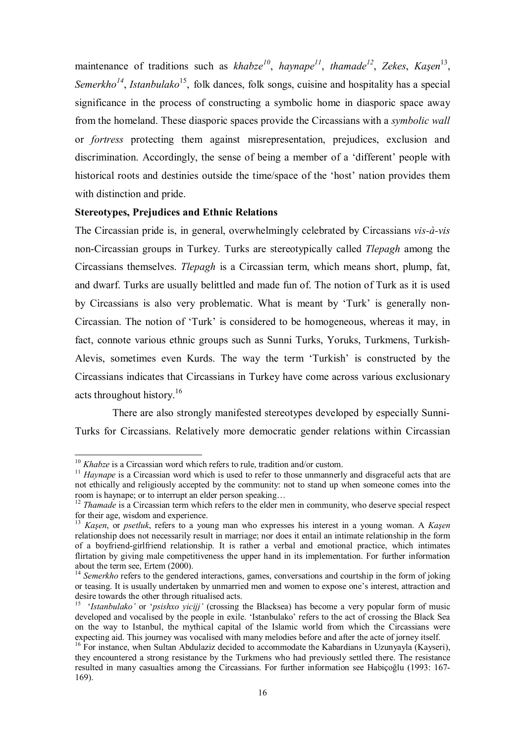maintenance of traditions such as *khabze*<sup>10</sup>, *haynape*<sup>11</sup>, *thamade*<sup>12</sup>, *Zekes*, *Kaşen*<sup>13</sup>, *Semerkho<sup>14</sup>*, *Istanbulako*15, folk dances, folk songs, cuisine and hospitality has a special significance in the process of constructing a symbolic home in diasporic space away from the homeland. These diasporic spaces provide the Circassians with a *symbolic wall* or *fortress* protecting them against misrepresentation, prejudices, exclusion and discrimination. Accordingly, the sense of being a member of a 'different' people with historical roots and destinies outside the time/space of the 'host' nation provides them with distinction and pride.

# **Stereotypes, Prejudices and Ethnic Relations**

The Circassian pride is, in general, overwhelmingly celebrated by Circassians *vis-à-vis* non-Circassian groups in Turkey. Turks are stereotypically called *Tlepagh* among the Circassians themselves. *Tlepagh* is a Circassian term, which means short, plump, fat, and dwarf. Turks are usually belittled and made fun of. The notion of Turk as it is used by Circassians is also very problematic. What is meant by 'Turk' is generally non-Circassian. The notion of 'Turk' is considered to be homogeneous, whereas it may, in fact, connote various ethnic groups such as Sunni Turks, Yoruks, Turkmens, Turkish-Alevis, sometimes even Kurds. The way the term 'Turkish' is constructed by the Circassians indicates that Circassians in Turkey have come across various exclusionary acts throughout history.16

There are also strongly manifested stereotypes developed by especially Sunni-Turks for Circassians. Relatively more democratic gender relations within Circassian

 $10$  Khabze is a Circassian word which refers to rule, tradition and/or custom.

<sup>&</sup>lt;sup>11</sup> *Haynape* is a Circassian word which is used to refer to those unmannerly and disgraceful acts that are not ethically and religiously accepted by the community: not to stand up when someone comes into the room is haynape; or to interrupt an elder person speaking…

<sup>&</sup>lt;sup>12</sup> *Thamade* is a Circassian term which refers to the elder men in community, who deserve special respect for their age, wisdom and experience.

<sup>13</sup> *Kaşen*, or *psetluk*, refers to a young man who expresses his interest in a young woman. A *Kaşen* relationship does not necessarily result in marriage; nor does it entail an intimate relationship in the form of a boyfriend-girlfriend relationship. It is rather a verbal and emotional practice, which intimates flirtation by giving male competitiveness the upper hand in its implementation. For further information about the term see, Ertem (2000).

<sup>&</sup>lt;sup>14</sup> Semerkho refers to the gendered interactions, games, conversations and courtship in the form of joking or teasing. It is usually undertaken by unmarried men and women to expose one's interest, attraction and desire towards the other through ritualised acts.

<sup>15 &#</sup>x27;*Istanbulako'* or '*psishxo yicijj'* (crossing the Blacksea) has become a very popular form of music developed and vocalised by the people in exile. 'Istanbulako' refers to the act of crossing the Black Sea on the way to Istanbul, the mythical capital of the Islamic world from which the Circassians were expecting aid. This journey was vocalised with many melodies before and after the acte of jorney itself.

<sup>&</sup>lt;sup>16</sup> For instance, when Sultan Abdulaziz decided to accommodate the Kabardians in Uzunyayla (Kayseri), they encountered a strong resistance by the Turkmens who had previously settled there. The resistance resulted in many casualties among the Circassians. For further information see Habiçoğlu (1993: 167- 169).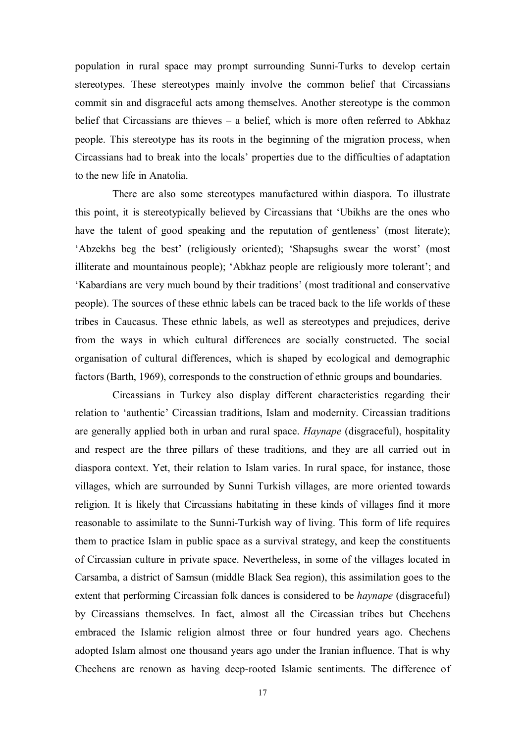population in rural space may prompt surrounding Sunni-Turks to develop certain stereotypes. These stereotypes mainly involve the common belief that Circassians commit sin and disgraceful acts among themselves. Another stereotype is the common belief that Circassians are thieves – a belief, which is more often referred to Abkhaz people. This stereotype has its roots in the beginning of the migration process, when Circassians had to break into the locals' properties due to the difficulties of adaptation to the new life in Anatolia.

There are also some stereotypes manufactured within diaspora. To illustrate this point, it is stereotypically believed by Circassians that 'Ubikhs are the ones who have the talent of good speaking and the reputation of gentleness' (most literate); 'Abzekhs beg the best' (religiously oriented); 'Shapsughs swear the worst' (most illiterate and mountainous people); 'Abkhaz people are religiously more tolerant'; and 'Kabardians are very much bound by their traditions' (most traditional and conservative people). The sources of these ethnic labels can be traced back to the life worlds of these tribes in Caucasus. These ethnic labels, as well as stereotypes and prejudices, derive from the ways in which cultural differences are socially constructed. The social organisation of cultural differences, which is shaped by ecological and demographic factors (Barth, 1969), corresponds to the construction of ethnic groups and boundaries.

Circassians in Turkey also display different characteristics regarding their relation to 'authentic' Circassian traditions, Islam and modernity. Circassian traditions are generally applied both in urban and rural space. *Haynape* (disgraceful), hospitality and respect are the three pillars of these traditions, and they are all carried out in diaspora context. Yet, their relation to Islam varies. In rural space, for instance, those villages, which are surrounded by Sunni Turkish villages, are more oriented towards religion. It is likely that Circassians habitating in these kinds of villages find it more reasonable to assimilate to the Sunni-Turkish way of living. This form of life requires them to practice Islam in public space as a survival strategy, and keep the constituents of Circassian culture in private space. Nevertheless, in some of the villages located in Carsamba, a district of Samsun (middle Black Sea region), this assimilation goes to the extent that performing Circassian folk dances is considered to be *haynape* (disgraceful) by Circassians themselves. In fact, almost all the Circassian tribes but Chechens embraced the Islamic religion almost three or four hundred years ago. Chechens adopted Islam almost one thousand years ago under the Iranian influence. That is why Chechens are renown as having deep-rooted Islamic sentiments. The difference of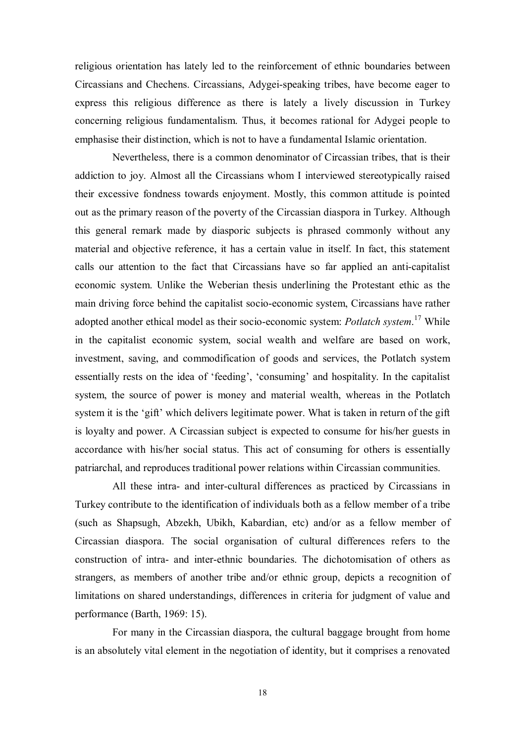religious orientation has lately led to the reinforcement of ethnic boundaries between Circassians and Chechens. Circassians, Adygei-speaking tribes, have become eager to express this religious difference as there is lately a lively discussion in Turkey concerning religious fundamentalism. Thus, it becomes rational for Adygei people to emphasise their distinction, which is not to have a fundamental Islamic orientation.

Nevertheless, there is a common denominator of Circassian tribes, that is their addiction to joy. Almost all the Circassians whom I interviewed stereotypically raised their excessive fondness towards enjoyment. Mostly, this common attitude is pointed out as the primary reason of the poverty of the Circassian diaspora in Turkey. Although this general remark made by diasporic subjects is phrased commonly without any material and objective reference, it has a certain value in itself. In fact, this statement calls our attention to the fact that Circassians have so far applied an anti-capitalist economic system. Unlike the Weberian thesis underlining the Protestant ethic as the main driving force behind the capitalist socio-economic system, Circassians have rather adopted another ethical model as their socio-economic system: *Potlatch system*. 17 While in the capitalist economic system, social wealth and welfare are based on work, investment, saving, and commodification of goods and services, the Potlatch system essentially rests on the idea of 'feeding', 'consuming' and hospitality. In the capitalist system, the source of power is money and material wealth, whereas in the Potlatch system it is the 'gift' which delivers legitimate power. What is taken in return of the gift is loyalty and power. A Circassian subject is expected to consume for his/her guests in accordance with his/her social status. This act of consuming for others is essentially patriarchal, and reproduces traditional power relations within Circassian communities.

All these intra- and inter-cultural differences as practiced by Circassians in Turkey contribute to the identification of individuals both as a fellow member of a tribe (such as Shapsugh, Abzekh, Ubikh, Kabardian, etc) and/or as a fellow member of Circassian diaspora. The social organisation of cultural differences refers to the construction of intra- and inter-ethnic boundaries. The dichotomisation of others as strangers, as members of another tribe and/or ethnic group, depicts a recognition of limitations on shared understandings, differences in criteria for judgment of value and performance (Barth, 1969: 15).

For many in the Circassian diaspora, the cultural baggage brought from home is an absolutely vital element in the negotiation of identity, but it comprises a renovated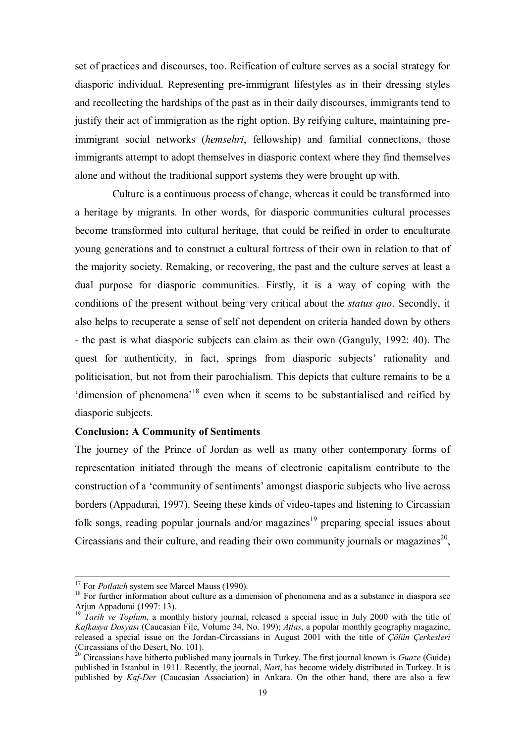set of practices and discourses, too. Reification of culture serves as a social strategy for diasporic individual. Representing pre-immigrant lifestyles as in their dressing styles and recollecting the hardships of the past as in their daily discourses, immigrants tend to justify their act of immigration as the right option. By reifying culture, maintaining preimmigrant social networks (*hemsehri*, fellowship) and familial connections, those immigrants attempt to adopt themselves in diasporic context where they find themselves alone and without the traditional support systems they were brought up with.

Culture is a continuous process of change, whereas it could be transformed into a heritage by migrants. In other words, for diasporic communities cultural processes become transformed into cultural heritage, that could be reified in order to enculturate young generations and to construct a cultural fortress of their own in relation to that of the majority society. Remaking, or recovering, the past and the culture serves at least a dual purpose for diasporic communities. Firstly, it is a way of coping with the conditions of the present without being very critical about the *status quo*. Secondly, it also helps to recuperate a sense of self not dependent on criteria handed down by others - the past is what diasporic subjects can claim as their own (Ganguly, 1992: 40). The quest for authenticity, in fact, springs from diasporic subjects' rationality and politicisation, but not from their parochialism. This depicts that culture remains to be a 'dimension of phenomena'18 even when it seems to be substantialised and reified by diasporic subjects.

### **Conclusion: A Community of Sentiments**

The journey of the Prince of Jordan as well as many other contemporary forms of representation initiated through the means of electronic capitalism contribute to the construction of a 'community of sentiments' amongst diasporic subjects who live across borders (Appadurai, 1997). Seeing these kinds of video-tapes and listening to Circassian folk songs, reading popular journals and/or magazines<sup>19</sup> preparing special issues about Circassians and their culture, and reading their own community journals or magazines<sup>20</sup>,

<sup>&</sup>lt;sup>17</sup> For *Potlatch* system see Marcel Mauss (1990).<br><sup>18</sup> For further information about culture as a dimension of phenomena and as a substance in diaspora see Arjun Appadurai (1997: 13).

<sup>&</sup>lt;sup>19</sup> *Tarih ve Toplum*, a monthly history journal, released a special issue in July 2000 with the title of *Kafkasya Dosyası* (Caucasian File, Volume 34, No. 199); *Atlas*, a popular monthly geography magazine, released a special issue on the Jordan-Circassians in August 2001 with the title of *Çölün Çerkesleri* (Circassians of the Desert, No. 101).

<sup>20</sup> Circassians have hitherto published many journals in Turkey. The first journal known is *Guaze* (Guide) published in Istanbul in 1911. Recently, the journal, *Nart*, has become widely distributed in Turkey. It is published by *Kaf-Der* (Caucasian Association) in Ankara. On the other hand, there are also a few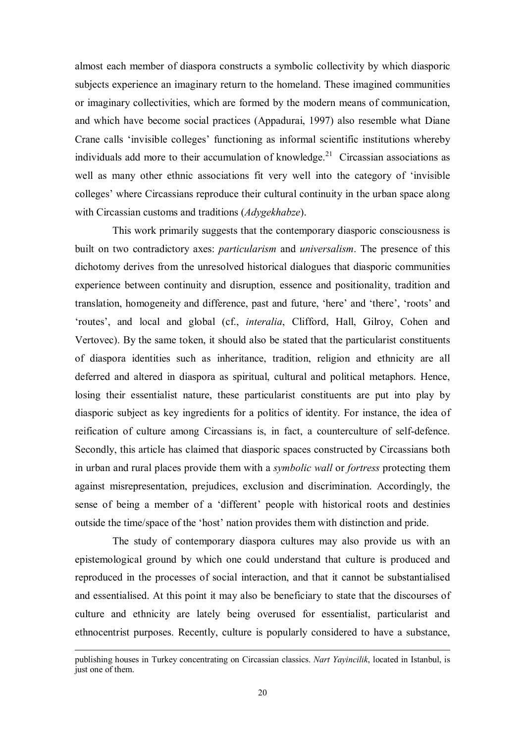almost each member of diaspora constructs a symbolic collectivity by which diasporic subjects experience an imaginary return to the homeland. These imagined communities or imaginary collectivities, which are formed by the modern means of communication, and which have become social practices (Appadurai, 1997) also resemble what Diane Crane calls 'invisible colleges' functioning as informal scientific institutions whereby individuals add more to their accumulation of knowledge.<sup>21</sup> Circassian associations as well as many other ethnic associations fit very well into the category of 'invisible colleges' where Circassians reproduce their cultural continuity in the urban space along with Circassian customs and traditions (*Adygekhabze*).

This work primarily suggests that the contemporary diasporic consciousness is built on two contradictory axes: *particularism* and *universalism*. The presence of this dichotomy derives from the unresolved historical dialogues that diasporic communities experience between continuity and disruption, essence and positionality, tradition and translation, homogeneity and difference, past and future, 'here' and 'there', 'roots' and 'routes', and local and global (cf., *interalia*, Clifford, Hall, Gilroy, Cohen and Vertovec). By the same token, it should also be stated that the particularist constituents of diaspora identities such as inheritance, tradition, religion and ethnicity are all deferred and altered in diaspora as spiritual, cultural and political metaphors. Hence, losing their essentialist nature, these particularist constituents are put into play by diasporic subject as key ingredients for a politics of identity. For instance, the idea of reification of culture among Circassians is, in fact, a counterculture of self-defence. Secondly, this article has claimed that diasporic spaces constructed by Circassians both in urban and rural places provide them with a *symbolic wall* or *fortress* protecting them against misrepresentation, prejudices, exclusion and discrimination. Accordingly, the sense of being a member of a 'different' people with historical roots and destinies outside the time/space of the 'host' nation provides them with distinction and pride.

The study of contemporary diaspora cultures may also provide us with an epistemological ground by which one could understand that culture is produced and reproduced in the processes of social interaction, and that it cannot be substantialised and essentialised. At this point it may also be beneficiary to state that the discourses of culture and ethnicity are lately being overused for essentialist, particularist and ethnocentrist purposes. Recently, culture is popularly considered to have a substance,

-

publishing houses in Turkey concentrating on Circassian classics. *Nart Yayincilik*, located in Istanbul, is just one of them.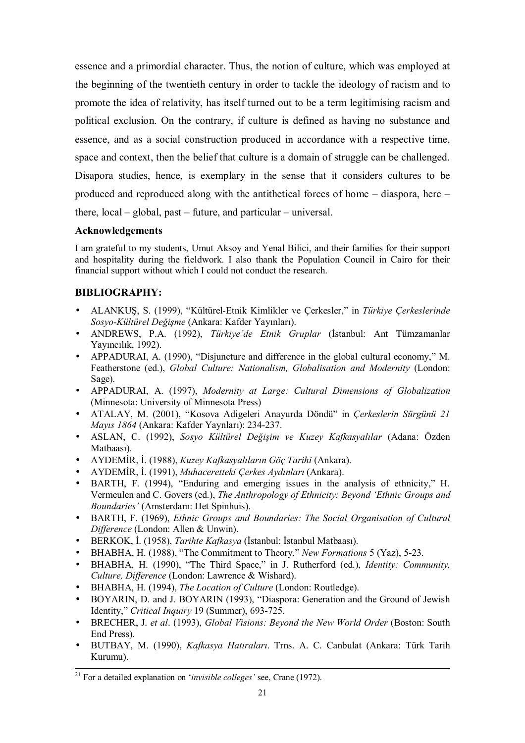essence and a primordial character. Thus, the notion of culture, which was employed at the beginning of the twentieth century in order to tackle the ideology of racism and to promote the idea of relativity, has itself turned out to be a term legitimising racism and political exclusion. On the contrary, if culture is defined as having no substance and essence, and as a social construction produced in accordance with a respective time, space and context, then the belief that culture is a domain of struggle can be challenged. Disapora studies, hence, is exemplary in the sense that it considers cultures to be produced and reproduced along with the antithetical forces of home – diaspora, here – there, local – global, past – future, and particular – universal.

# **Acknowledgements**

I am grateful to my students, Umut Aksoy and Yenal Bilici, and their families for their support and hospitality during the fieldwork. I also thank the Population Council in Cairo for their financial support without which I could not conduct the research.

# **BIBLIOGRAPHY:**

- ALANKUŞ, S. (1999), "Kültürel-Etnik Kimlikler ve Çerkesler," in *Türkiye Çerkeslerinde Sosyo-Kültürel Değişme* (Ankara: Kafder Yayınları).
- ANDREWS, P.A. (1992), *Türkiye'de Etnik Gruplar* (İstanbul: Ant Tümzamanlar Yayıncılık, 1992).
- APPADURAI, A. (1990), "Disjuncture and difference in the global cultural economy," M. Featherstone (ed.), *Global Culture: Nationalism, Globalisation and Modernity* (London: Sage).
- APPADURAI, A. (1997), *Modernity at Large: Cultural Dimensions of Globalization* (Minnesota: University of Minnesota Press)
- ATALAY, M. (2001), "Kosova Adigeleri Anayurda Döndü" in *Çerkeslerin Sürgünü 21 Mayıs 1864* (Ankara: Kafder Yaynları): 234-237.
- ASLAN, C. (1992), *Sosyo Kültürel Değişim ve Kuzey Kafkasyalılar* (Adana: Özden Matbaası).
- AYDEMİR, İ. (1988), *Kuzey Kafkasyalıların Göç Tarihi* (Ankara).
- AYDEMİR, İ. (1991), *Muhaceretteki Çerkes Aydınları* (Ankara).
- BARTH, F. (1994), "Enduring and emerging issues in the analysis of ethnicity," H. Vermeulen and C. Govers (ed.), *The Anthropology of Ethnicity: Beyond 'Ethnic Groups and Boundaries'* (Amsterdam: Het Spinhuis).
- BARTH, F. (1969), *Ethnic Groups and Boundaries: The Social Organisation of Cultural Difference* (London: Allen & Unwin).
- BERKOK, İ. (1958), *Tarihte Kafkasya* (İstanbul: İstanbul Matbaası).
- BHABHA, H. (1988), "The Commitment to Theory," *New Formations* 5 (Yaz), 5-23.
- BHABHA, H. (1990), "The Third Space," in J. Rutherford (ed.), *Identity: Community, Culture, Difference* (London: Lawrence & Wishard).
- BHABHA, H. (1994), *The Location of Culture* (London: Routledge).
- BOYARIN, D. and J. BOYARIN (1993), "Diaspora: Generation and the Ground of Jewish Identity," *Critical Inquiry* 19 (Summer), 693-725.
- BRECHER, J. *et al*. (1993), *Global Visions: Beyond the New World Order* (Boston: South End Press).
- BUTBAY, M. (1990), *Kafkasya Hatıraları*. Trns. A. C. Canbulat (Ankara: Türk Tarih Kurumu).

 <sup>21</sup> For a detailed explanation on '*invisible colleges'* see, Crane (1972).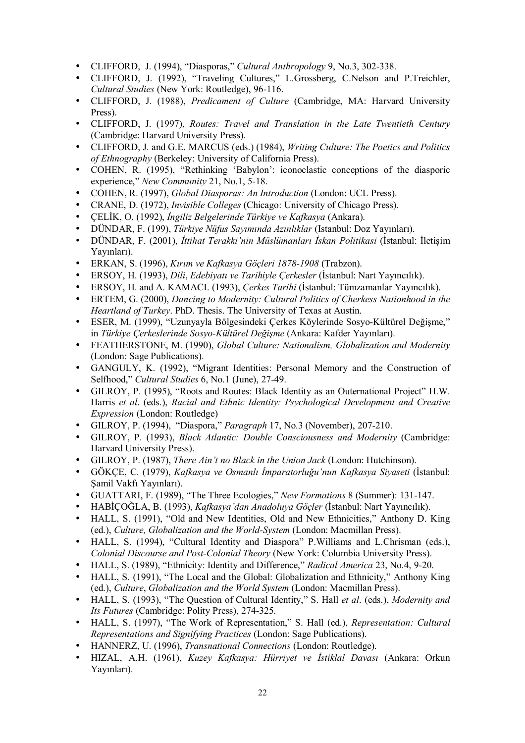- CLIFFORD, J. (1994), "Diasporas," *Cultural Anthropology* 9, No.3, 302-338.
- CLIFFORD, J. (1992), "Traveling Cultures," L.Grossberg, C.Nelson and P.Treichler, *Cultural Studies* (New York: Routledge), 96-116.
- CLIFFORD, J. (1988), *Predicament of Culture* (Cambridge, MA: Harvard University Press).
- CLIFFORD, J. (1997), *Routes: Travel and Translation in the Late Twentieth Century* (Cambridge: Harvard University Press).
- CLIFFORD, J. and G.E. MARCUS (eds.) (1984), *Writing Culture: The Poetics and Politics of Ethnography* (Berkeley: University of California Press).
- COHEN, R. (1995), "Rethinking 'Babylon': iconoclastic conceptions of the diasporic experience," *New Community* 21, No.1, 5-18.
- COHEN, R. (1997), *Global Diasporas: An Introduction* (London: UCL Press).
- CRANE, D. (1972), *Invisible Colleges* (Chicago: University of Chicago Press).
- ÇELİK, O. (1992), *İngiliz Belgelerinde Türkiye ve Kafkasya* (Ankara).
- DÜNDAR, F. (199), *Türkiye Nüfus Sayımında Azınlıklar* (Istanbul: Doz Yayınları).
- DÜNDAR, F. (2001), *İttihat Terakki'nin Müslümanları İskan Politikasi* (İstanbul: İletişim Yayınları).
- ERKAN, S. (1996), *Kırım ve Kafkasya Göçleri 1878-1908* (Trabzon).
- ERSOY, H. (1993), *Dili*, *Edebiyatı ve Tarihiyle Çerkesler* (İstanbul: Nart Yayıncılık).
- ERSOY, H. and A. KAMACI. (1993), *Çerkes Tarihi* (İstanbul: Tümzamanlar Yayıncılık).
- ERTEM, G. (2000), *Dancing to Modernity: Cultural Politics of Cherkess Nationhood in the Heartland of Turkey*. PhD. Thesis. The University of Texas at Austin.
- ESER, M. (1999), "Uzunyayla Bölgesindeki Çerkes Köylerinde Sosyo-Kültürel Değişme," in *Türkiye Çerkeslerinde Sosyo-Kültürel Değişme* (Ankara: Kafder Yayınları).
- FEATHERSTONE, M. (1990), *Global Culture: Nationalism, Globalization and Modernity* (London: Sage Publications).
- GANGULY, K. (1992), "Migrant Identities: Personal Memory and the Construction of Selfhood," *Cultural Studies* 6, No.1 (June), 27-49.
- GILROY, P. (1995), "Roots and Routes: Black Identity as an Outernational Project" H.W. Harris *et al*. (eds.), *Racial and Ethnic Identity: Psychological Development and Creative Expression* (London: Routledge)
- GILROY, P. (1994), "Diaspora," *Paragraph* 17, No.3 (November), 207-210.
- GILROY, P. (1993), *Black Atlantic: Double Consciousness and Modernity* (Cambridge: Harvard University Press).
- GILROY, P. (1987), *There Ain't no Black in the Union Jack* (London: Hutchinson).
- GÖKÇE, C. (1979), *Kafkasya ve Osmanlı İmparatorluğu'nun Kafkasya Siyaseti* (İstanbul: Şamil Vakfı Yayınları).
- GUATTARI, F. (1989), "The Three Ecologies," *New Formations* 8 (Summer): 131-147.
- HABİÇOĞLA, B. (1993), *Kafkasya'dan Anadoluya Göçler* (İstanbul: Nart Yayıncılık).
- HALL, S. (1991), "Old and New Identities, Old and New Ethnicities," Anthony D. King (ed.), *Culture, Globalization and the World-System* (London: Macmillan Press).
- HALL, S. (1994), "Cultural Identity and Diaspora" P.Williams and L.Chrisman (eds.), *Colonial Discourse and Post-Colonial Theory* (New York: Columbia University Press).
- HALL, S. (1989), "Ethnicity: Identity and Difference," *Radical America* 23, No.4, 9-20.
- HALL, S. (1991), "The Local and the Global: Globalization and Ethnicity," Anthony King (ed.), *Culture*, *Globalization and the World System* (London: Macmillan Press).
- HALL, S. (1993), "The Question of Cultural Identity," S. Hall *et al*. (eds.), *Modernity and Its Futures* (Cambridge: Polity Press), 274-325.
- HALL, S. (1997), "The Work of Representation," S. Hall (ed.), *Representation: Cultural Representations and Signifying Practices* (London: Sage Publications).
- HANNERZ, U. (1996), *Transnational Connections* (London: Routledge).
- HIZAL, A.H. (1961), *Kuzey Kafkasya: Hürriyet ve İstiklal Davası* (Ankara: Orkun Yayınları).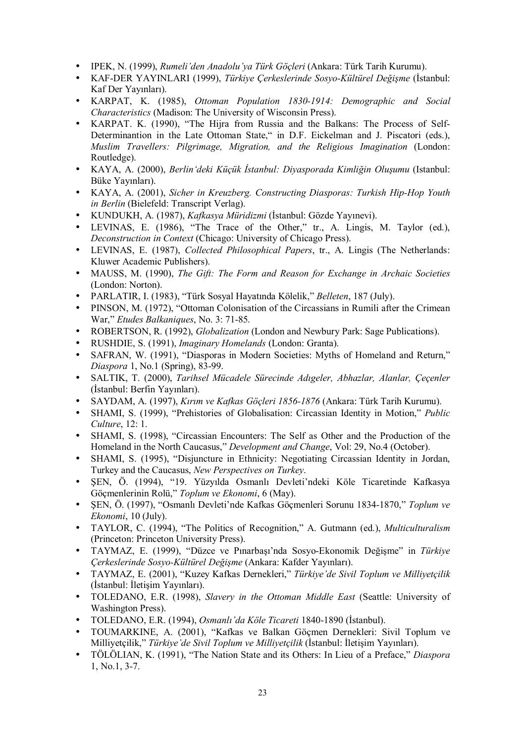- IPEK, N. (1999), *Rumeli'den Anadolu'ya Türk Göçleri* (Ankara: Türk Tarih Kurumu).
- KAF-DER YAYINLARI (1999), *Türkiye Çerkeslerinde Sosyo-Kültürel Değişme* (İstanbul: Kaf Der Yayınları).
- KARPAT, K. (1985), *Ottoman Population 1830-1914: Demographic and Social Characteristics* (Madison: The University of Wisconsin Press).
- KARPAT. K. (1990), "The Hijra from Russia and the Balkans: The Process of Self-Determinantion in the Late Ottoman State," in D.F. Eickelman and J. Piscatori (eds.), *Muslim Travellers: Pilgrimage, Migration, and the Religious Imagination* (London: Routledge).
- KAYA, A. (2000), *Berlin'deki Küçük İstanbul: Diyasporada Kimliğin Oluşumu* (Istanbul: Büke Yayınları).
- KAYA, A. (2001), *Sicher in Kreuzberg. Constructing Diasporas: Turkish Hip-Hop Youth in Berlin* (Bielefeld: Transcript Verlag).
- KUNDUKH, A. (1987), *Kafkasya Müridizmi* (İstanbul: Gözde Yayınevi).
- LEVINAS, E. (1986), "The Trace of the Other," tr., A. Lingis, M. Taylor (ed.), *Deconstruction in Context* (Chicago: University of Chicago Press).
- LEVINAS, E. (1987), *Collected Philosophical Papers*, tr., A. Lingis (The Netherlands: Kluwer Academic Publishers).
- MAUSS, M. (1990), *The Gift: The Form and Reason for Exchange in Archaic Societies* (London: Norton).
- PARLATIR, I. (1983), "Türk Sosyal Hayatında Kölelik," *Belleten*, 187 (July).
- PINSON, M. (1972), "Ottoman Colonisation of the Circassians in Rumili after the Crimean War," *Etudes Balkaniques*, No. 3: 71-85.
- ROBERTSON, R. (1992), *Globalization* (London and Newbury Park: Sage Publications).
- RUSHDIE, S. (1991), *Imaginary Homelands* (London: Granta).
- SAFRAN, W. (1991), "Diasporas in Modern Societies: Myths of Homeland and Return," *Diaspora* 1, No.1 (Spring), 83-99.
- SALTIK, T. (2000), *Tarihsel Mücadele Sürecinde Adıgeler, Abhazlar, Alanlar, Çeçenler* (İstanbul: Berfin Yayınları).
- SAYDAM, A. (1997), *Kırım ve Kafkas Göçleri 1856-1876* (Ankara: Türk Tarih Kurumu).
- SHAMI, S. (1999), "Prehistories of Globalisation: Circassian Identity in Motion," *Public Culture*, 12: 1.
- SHAMI, S. (1998), "Circassian Encounters: The Self as Other and the Production of the Homeland in the North Caucasus," *Development and Change*, Vol: 29, No.4 (October).
- SHAMI, S. (1995), "Disjuncture in Ethnicity: Negotiating Circassian Identity in Jordan, Turkey and the Caucasus, *New Perspectives on Turkey*.
- ŞEN, Ö. (1994), "19. Yüzyılda Osmanlı Devleti'ndeki Köle Ticaretinde Kafkasya Göçmenlerinin Rolü," *Toplum ve Ekonomi*, 6 (May).
- ŞEN, Ö. (1997), "Osmanlı Devleti'nde Kafkas Göçmenleri Sorunu 1834-1870," *Toplum ve Ekonomi*, 10 (July).
- TAYLOR, C. (1994), "The Politics of Recognition," A. Gutmann (ed.), *Multiculturalism* (Princeton: Princeton University Press).
- TAYMAZ, E. (1999), "Düzce ve Pınarbaşı'nda Sosyo-Ekonomik Değişme" in *Türkiye Çerkeslerinde Sosyo-Kültürel Değişme* (Ankara: Kafder Yayınları).
- TAYMAZ, E. (2001), "Kuzey Kafkas Dernekleri," *Türkiye'de Sivil Toplum ve Milliyetçilik* (İstanbul: İletişim Yayınları).
- TOLEDANO, E.R. (1998), *Slavery in the Ottoman Middle East* (Seattle: University of Washington Press).
- TOLEDANO, E.R. (1994), *Osmanlı'da Köle Ticareti* 1840-1890 (İstanbul).
- TOUMARKINE, A. (2001), "Kafkas ve Balkan Göçmen Dernekleri: Sivil Toplum ve Milliyetçilik," *Türkiye'de Sivil Toplum ve Milliyetçilik* (İstanbul: İletişim Yayınları).
- TÖLÖLIAN, K. (1991), "The Nation State and its Others: In Lieu of a Preface," *Diaspora* 1, No.1, 3-7.